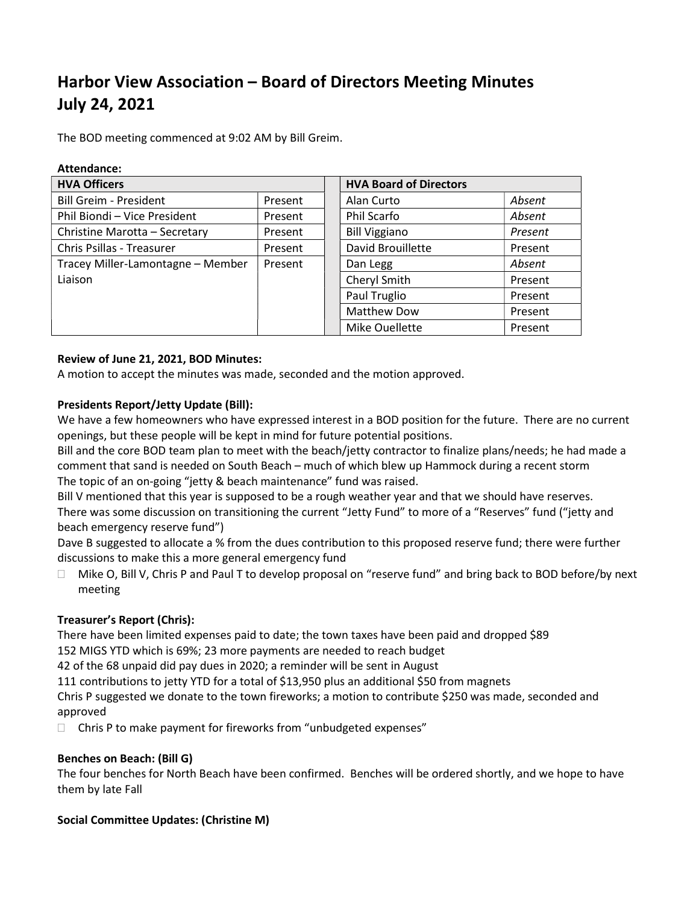# Harbor View Association – Board of Directors Meeting Minutes July 24, 2021

The BOD meeting commenced at 9:02 AM by Bill Greim.

| Attendance:                       |         |                               |         |
|-----------------------------------|---------|-------------------------------|---------|
| <b>HVA Officers</b>               |         | <b>HVA Board of Directors</b> |         |
| <b>Bill Greim - President</b>     | Present | Alan Curto                    | Absent  |
| Phil Biondi - Vice President      | Present | Phil Scarfo                   | Absent  |
| Christine Marotta - Secretary     | Present | <b>Bill Viggiano</b>          | Present |
| Chris Psillas - Treasurer         | Present | David Brouillette             | Present |
| Tracey Miller-Lamontagne - Member | Present | Dan Legg                      | Absent  |
| Liaison                           |         | Cheryl Smith                  | Present |
|                                   |         | Paul Truglio                  | Present |
|                                   |         | <b>Matthew Dow</b>            | Present |
|                                   |         | Mike Ouellette                | Present |

## Review of June 21, 2021, BOD Minutes:

A motion to accept the minutes was made, seconded and the motion approved.

## Presidents Report/Jetty Update (Bill):

We have a few homeowners who have expressed interest in a BOD position for the future. There are no current openings, but these people will be kept in mind for future potential positions.

Bill and the core BOD team plan to meet with the beach/jetty contractor to finalize plans/needs; he had made a comment that sand is needed on South Beach – much of which blew up Hammock during a recent storm The topic of an on-going "jetty & beach maintenance" fund was raised.

Bill V mentioned that this year is supposed to be a rough weather year and that we should have reserves. There was some discussion on transitioning the current "Jetty Fund" to more of a "Reserves" fund ("jetty and beach emergency reserve fund")

Dave B suggested to allocate a % from the dues contribution to this proposed reserve fund; there were further discussions to make this a more general emergency fund

□ Mike O, Bill V, Chris P and Paul T to develop proposal on "reserve fund" and bring back to BOD before/by next meeting

# Treasurer's Report (Chris):

There have been limited expenses paid to date; the town taxes have been paid and dropped \$89 152 MIGS YTD which is 69%; 23 more payments are needed to reach budget

42 of the 68 unpaid did pay dues in 2020; a reminder will be sent in August

111 contributions to jetty YTD for a total of \$13,950 plus an additional \$50 from magnets

Chris P suggested we donate to the town fireworks; a motion to contribute \$250 was made, seconded and approved

 $\Box$  Chris P to make payment for fireworks from "unbudgeted expenses"

#### Benches on Beach: (Bill G)

The four benches for North Beach have been confirmed. Benches will be ordered shortly, and we hope to have them by late Fall

# Social Committee Updates: (Christine M)